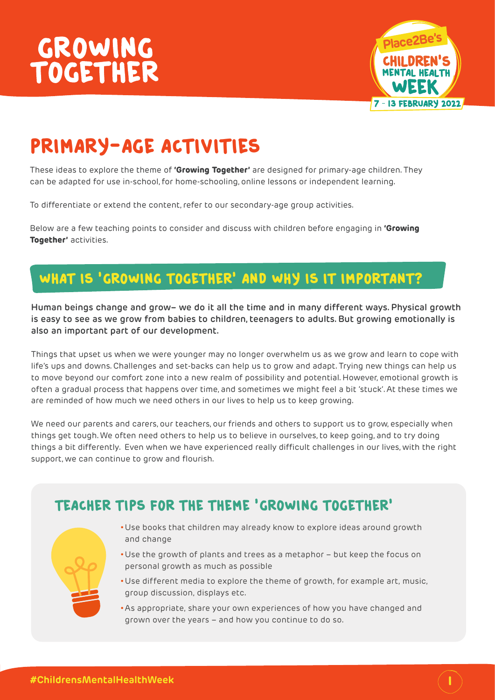

# Primary-age activities

These ideas to explore the theme of **'Growing Together'** are designed for primary-age children. They can be adapted for use in-school, for home-schooling, online lessons or independent learning.

To differentiate or extend the content, refer to our secondary-age group activities.

Below are a few teaching points to consider and discuss with children before engaging in **'Growing Together'** activities.

### WHAT IS 'GROWING TOGETHER' AND WHY IS IT IMPORTANT?

**Human beings change and grow– we do it all the time and in many different ways. Physical growth is easy to see as we grow from babies to children, teenagers to adults. But growing emotionally is also an important part of our development.** 

Things that upset us when we were younger may no longer overwhelm us as we grow and learn to cope with life's ups and downs. Challenges and set-backs can help us to grow and adapt. Trying new things can help us to move beyond our comfort zone into a new realm of possibility and potential. However, emotional growth is often a gradual process that happens over time, and sometimes we might feel a bit 'stuck'. At these times we are reminded of how much we need others in our lives to help us to keep growing.

We need our parents and carers, our teachers, our friends and others to support us to grow, especially when things get tough. We often need others to help us to believe in ourselves, to keep going, and to try doing things a bit differently. Even when we have experienced really difficult challenges in our lives, with the right support, we can continue to grow and flourish.



- Teacher tips for the theme 'Growing Together'
	- •Use books that children may already know to explore ideas around growth and change
	- •Use the growth of plants and trees as a metaphor but keep the focus on personal growth as much as possible
	- •Use different media to explore the theme of growth, for example art, music, group discussion, displays etc.
	- •As appropriate, share your own experiences of how you have changed and grown over the years – and how you continue to do so.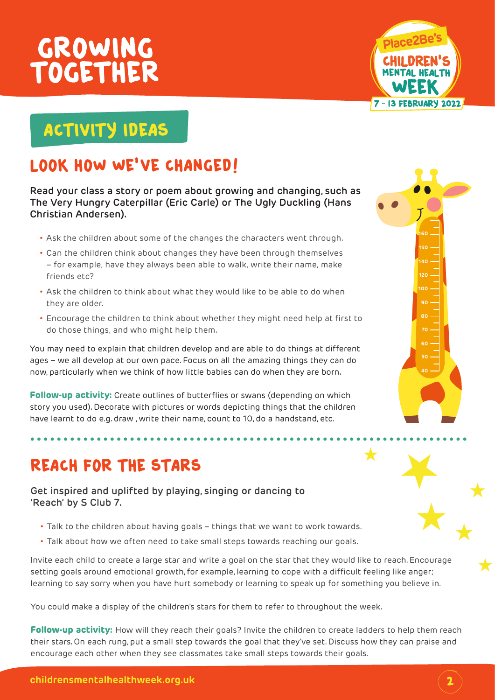

# ACTIVITY IDEAS

## LOOK HOW WE'VE CHANGED!

**Read your class a story or poem about growing and changing, such as The Very Hungry Caterpillar (Eric Carle) or The Ugly Duckling (Hans Christian Andersen).** 

- Ask the children about some of the changes the characters went through.
- Can the children think about changes they have been through themselves – for example, have they always been able to walk, write their name, make friends etc?
- Ask the children to think about what they would like to be able to do when they are older.
- Encourage the children to think about whether they might need help at first to do those things, and who might help them.

You may need to explain that children develop and are able to do things at different ages – we all develop at our own pace. Focus on all the amazing things they can do now, particularly when we think of how little babies can do when they are born.

**Follow-up activity:** Create outlines of butterflies or swans (depending on which story you used). Decorate with pictures or words depicting things that the children have learnt to do e.g. draw , write their name, count to 10, do a handstand, etc.

## REACH FOR THE STARS

**Get inspired and uplifted by playing, singing or dancing to 'Reach' by S Club 7.**

- Talk to the children about having goals things that we want to work towards.
- Talk about how we often need to take small steps towards reaching our goals.

Invite each child to create a large star and write a goal on the star that they would like to reach. Encourage setting goals around emotional growth, for example, learning to cope with a difficult feeling like anger; learning to say sorry when you have hurt somebody or learning to speak up for something you believe in.

You could make a display of the children's stars for them to refer to throughout the week.

**Follow-up activity:** How will they reach their goals? Invite the children to create ladders to help them reach their stars. On each rung, put a small step towards the goal that they've set. Discuss how they can praise and encourage each other when they see classmates take small steps towards their goals.



 $\bigstar$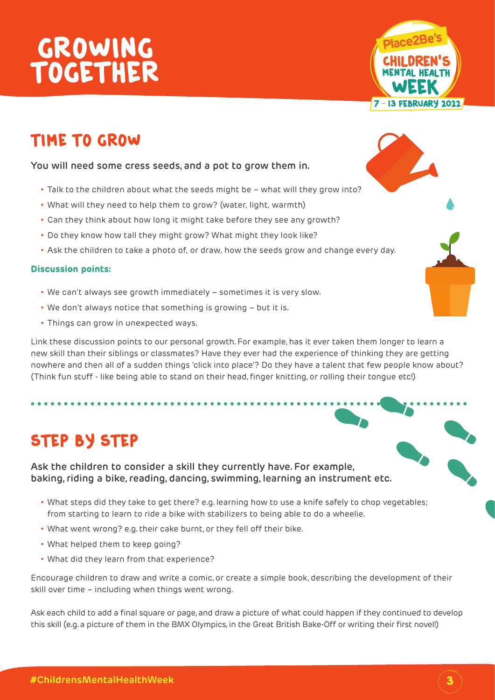

### Time to grow

#### **You will need some cress seeds, and a pot to grow them in.**

- Talk to the children about what the seeds might be what will they grow into?
- What will they need to help them to grow? (water, light, warmth)
- Can they think about how long it might take before they see any growth?
- Do they know how tall they might grow? What might they look like?
- Ask the children to take a photo of, or draw, how the seeds grow and change every day.

#### **Discussion points:**

- We can't always see growth immediately sometimes it is very slow.
- We don't always notice that something is growing but it is.
- Things can grow in unexpected ways.

Link these discussion points to our personal growth. For example, has it ever taken them longer to learn a new skill than their siblings or classmates? Have they ever had the experience of thinking they are getting nowhere and then all of a sudden things 'click into place'? Do they have a talent that few people know about? (Think fun stuff - like being able to stand on their head, finger knitting, or rolling their tongue etc!)

## STEP BY STEP

**Ask the children to consider a skill they currently have. For example, baking, riding a bike, reading, dancing, swimming, learning an instrument etc.** 

- What steps did they take to get there? e.g. learning how to use a knife safely to chop vegetables; from starting to learn to ride a bike with stabilizers to being able to do a wheelie.
- What went wrong? e.g. their cake burnt, or they fell off their bike.
- What helped them to keep going?
- What did they learn from that experience?

Encourage children to draw and write a comic, or create a simple book, describing the development of their skill over time – including when things went wrong.

Ask each child to add a final square or page, and draw a picture of what could happen if they continued to develop this skill (e.g. a picture of them in the BMX Olympics, in the Great British Bake-Off or writing their first novel!)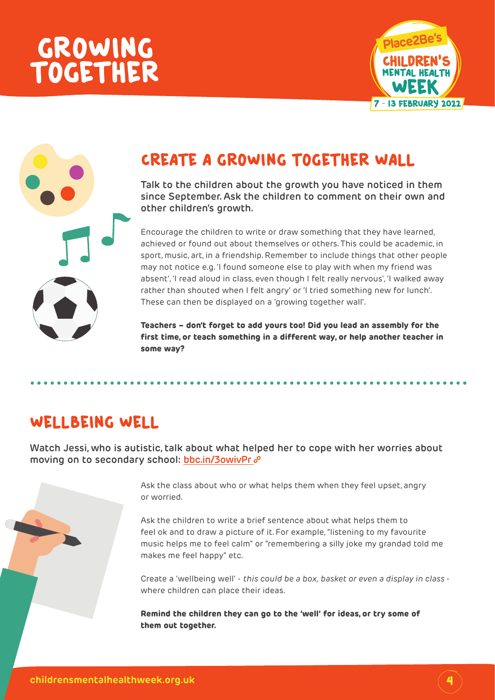

### Create a growing together wall

**Talk to the children about the growth you have noticed in them since September. Ask the children to comment on their own and other children's growth.** 

Encourage the children to write or draw something that they have learned, achieved or found out about themselves or others. This could be academic, in sport, music, art, in a friendship. Remember to include things that other people may not notice e.g. 'I found someone else to play with when my friend was absent', 'I read aloud in class, even though I felt really nervous', 'I walked away rather than shouted when I felt angry' or 'I tried something new for lunch'. These can then be displayed on a 'growing together wall'.

**Teachers – don't forget to add yours too! Did you lead an assembly for the first time, or teach something in a different way, or help another teacher in some way?**

### WELLBEING WELL

**Watch Jessi, who is autistic, talk about what helped her to cope with her worries about moving on to secondary school: [bbc.in/3owivPr](http://bbc.in/3owivPr)**



Ask the children to write a brief sentence about what helps them to feel ok and to draw a picture of it. For example, "listening to my favourite music helps me to feel calm" or "remembering a silly joke my grandad told me makes me feel happy" etc.

Create a 'wellbeing well' - *this could be a box, basket or even a display in class*  where children can place their ideas.

**Remind the children they can go to the 'well' for ideas, or try some of them out together.**